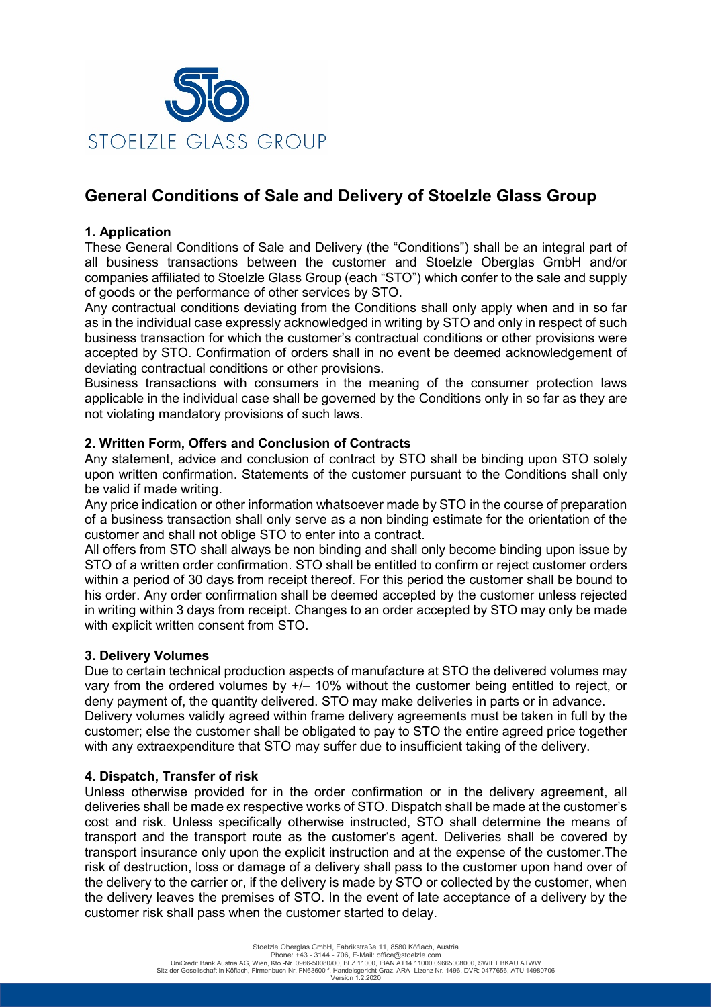

# **General Conditions of Sale and Delivery of Stoelzle Glass Group**

## **1. Application**

These General Conditions of Sale and Delivery (the "Conditions") shall be an integral part of all business transactions between the customer and Stoelzle Oberglas GmbH and/or companies affiliated to Stoelzle Glass Group (each "STO") which confer to the sale and supply of goods or the performance of other services by STO.

Any contractual conditions deviating from the Conditions shall only apply when and in so far as in the individual case expressly acknowledged in writing by STO and only in respect of such business transaction for which the customer's contractual conditions or other provisions were accepted by STO. Confirmation of orders shall in no event be deemed acknowledgement of deviating contractual conditions or other provisions.

Business transactions with consumers in the meaning of the consumer protection laws applicable in the individual case shall be governed by the Conditions only in so far as they are not violating mandatory provisions of such laws.

### **2. Written Form, Offers and Conclusion of Contracts**

Any statement, advice and conclusion of contract by STO shall be binding upon STO solely upon written confirmation. Statements of the customer pursuant to the Conditions shall only be valid if made writing.

Any price indication or other information whatsoever made by STO in the course of preparation of a business transaction shall only serve as a non binding estimate for the orientation of the customer and shall not oblige STO to enter into a contract.

All offers from STO shall always be non binding and shall only become binding upon issue by STO of a written order confirmation. STO shall be entitled to confirm or reject customer orders within a period of 30 days from receipt thereof. For this period the customer shall be bound to his order. Any order confirmation shall be deemed accepted by the customer unless rejected in writing within 3 days from receipt. Changes to an order accepted by STO may only be made with explicit written consent from STO.

### **3. Delivery Volumes**

Due to certain technical production aspects of manufacture at STO the delivered volumes may vary from the ordered volumes by +/– 10% without the customer being entitled to reject, or deny payment of, the quantity delivered. STO may make deliveries in parts or in advance. Delivery volumes validly agreed within frame delivery agreements must be taken in full by the customer; else the customer shall be obligated to pay to STO the entire agreed price together with any extraexpenditure that STO may suffer due to insufficient taking of the delivery.

### **4. Dispatch, Transfer of risk**

Unless otherwise provided for in the order confirmation or in the delivery agreement, all deliveries shall be made ex respective works of STO. Dispatch shall be made at the customer's cost and risk. Unless specifically otherwise instructed, STO shall determine the means of transport and the transport route as the customer's agent. Deliveries shall be covered by transport insurance only upon the explicit instruction and at the expense of the customer.The risk of destruction, loss or damage of a delivery shall pass to the customer upon hand over of the delivery to the carrier or, if the delivery is made by STO or collected by the customer, when the delivery leaves the premises of STO. In the event of late acceptance of a delivery by the customer risk shall pass when the customer started to delay.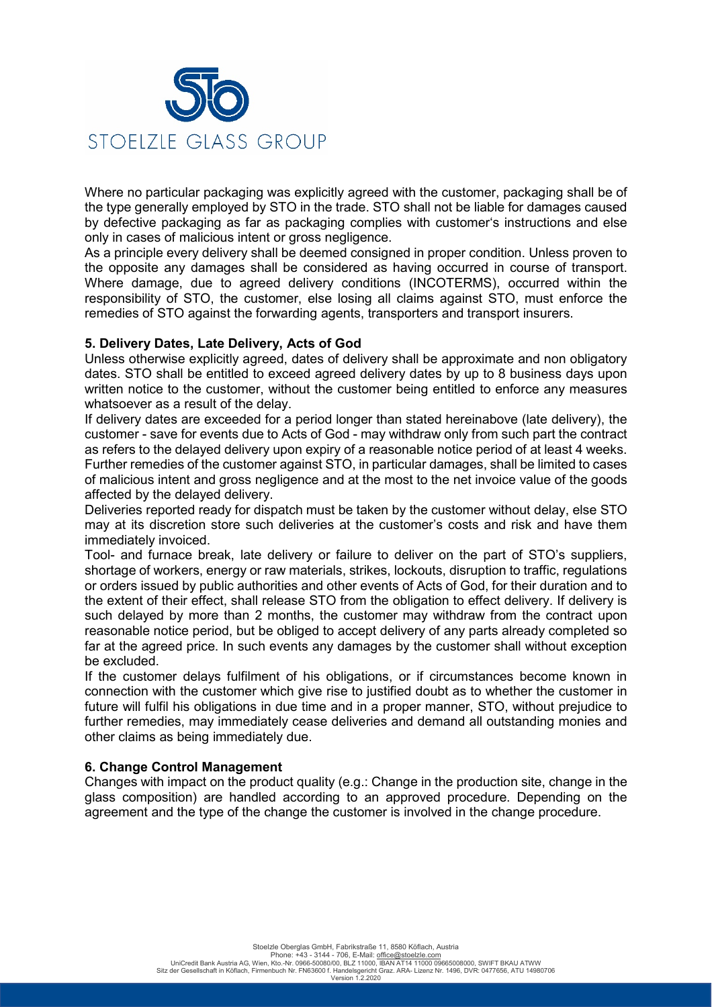

Where no particular packaging was explicitly agreed with the customer, packaging shall be of the type generally employed by STO in the trade. STO shall not be liable for damages caused by defective packaging as far as packaging complies with customer's instructions and else only in cases of malicious intent or gross negligence.

As a principle every delivery shall be deemed consigned in proper condition. Unless proven to the opposite any damages shall be considered as having occurred in course of transport. Where damage, due to agreed delivery conditions (INCOTERMS), occurred within the responsibility of STO, the customer, else losing all claims against STO, must enforce the remedies of STO against the forwarding agents, transporters and transport insurers.

### **5. Delivery Dates, Late Delivery, Acts of God**

Unless otherwise explicitly agreed, dates of delivery shall be approximate and non obligatory dates. STO shall be entitled to exceed agreed delivery dates by up to 8 business days upon written notice to the customer, without the customer being entitled to enforce any measures whatsoever as a result of the delay.

If delivery dates are exceeded for a period longer than stated hereinabove (late delivery), the customer - save for events due to Acts of God - may withdraw only from such part the contract as refers to the delayed delivery upon expiry of a reasonable notice period of at least 4 weeks. Further remedies of the customer against STO, in particular damages, shall be limited to cases of malicious intent and gross negligence and at the most to the net invoice value of the goods affected by the delayed delivery.

Deliveries reported ready for dispatch must be taken by the customer without delay, else STO may at its discretion store such deliveries at the customer's costs and risk and have them immediately invoiced.

Tool- and furnace break, late delivery or failure to deliver on the part of STO's suppliers, shortage of workers, energy or raw materials, strikes, lockouts, disruption to traffic, regulations or orders issued by public authorities and other events of Acts of God, for their duration and to the extent of their effect, shall release STO from the obligation to effect delivery. If delivery is such delayed by more than 2 months, the customer may withdraw from the contract upon reasonable notice period, but be obliged to accept delivery of any parts already completed so far at the agreed price. In such events any damages by the customer shall without exception be excluded.

If the customer delays fulfilment of his obligations, or if circumstances become known in connection with the customer which give rise to justified doubt as to whether the customer in future will fulfil his obligations in due time and in a proper manner, STO, without prejudice to further remedies, may immediately cease deliveries and demand all outstanding monies and other claims as being immediately due.

### **6. Change Control Management**

Changes with impact on the product quality (e.g.: Change in the production site, change in the glass composition) are handled according to an approved procedure. Depending on the agreement and the type of the change the customer is involved in the change procedure.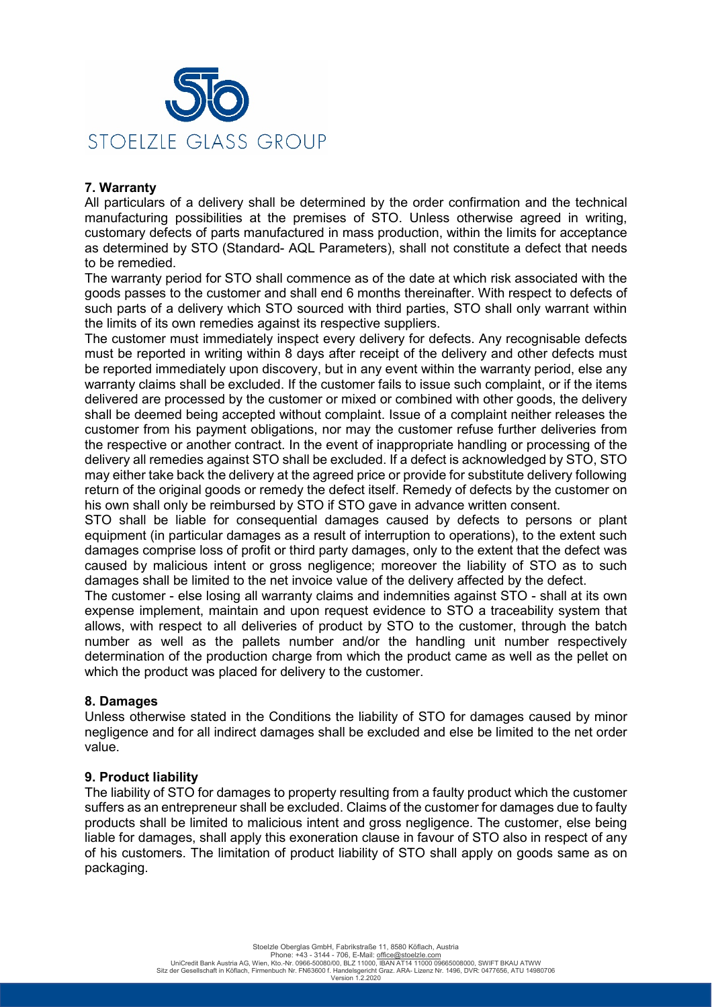

### **7. Warranty**

All particulars of a delivery shall be determined by the order confirmation and the technical manufacturing possibilities at the premises of STO. Unless otherwise agreed in writing, customary defects of parts manufactured in mass production, within the limits for acceptance as determined by STO (Standard- AQL Parameters), shall not constitute a defect that needs to be remedied.

The warranty period for STO shall commence as of the date at which risk associated with the goods passes to the customer and shall end 6 months thereinafter. With respect to defects of such parts of a delivery which STO sourced with third parties, STO shall only warrant within the limits of its own remedies against its respective suppliers.

The customer must immediately inspect every delivery for defects. Any recognisable defects must be reported in writing within 8 days after receipt of the delivery and other defects must be reported immediately upon discovery, but in any event within the warranty period, else any warranty claims shall be excluded. If the customer fails to issue such complaint, or if the items delivered are processed by the customer or mixed or combined with other goods, the delivery shall be deemed being accepted without complaint. Issue of a complaint neither releases the customer from his payment obligations, nor may the customer refuse further deliveries from the respective or another contract. In the event of inappropriate handling or processing of the delivery all remedies against STO shall be excluded. If a defect is acknowledged by STO, STO may either take back the delivery at the agreed price or provide for substitute delivery following return of the original goods or remedy the defect itself. Remedy of defects by the customer on his own shall only be reimbursed by STO if STO gave in advance written consent.

STO shall be liable for consequential damages caused by defects to persons or plant equipment (in particular damages as a result of interruption to operations), to the extent such damages comprise loss of profit or third party damages, only to the extent that the defect was caused by malicious intent or gross negligence; moreover the liability of STO as to such damages shall be limited to the net invoice value of the delivery affected by the defect.

The customer - else losing all warranty claims and indemnities against STO - shall at its own expense implement, maintain and upon request evidence to STO a traceability system that allows, with respect to all deliveries of product by STO to the customer, through the batch number as well as the pallets number and/or the handling unit number respectively determination of the production charge from which the product came as well as the pellet on which the product was placed for delivery to the customer.

### **8. Damages**

Unless otherwise stated in the Conditions the liability of STO for damages caused by minor negligence and for all indirect damages shall be excluded and else be limited to the net order value.

### **9. Product liability**

The liability of STO for damages to property resulting from a faulty product which the customer suffers as an entrepreneur shall be excluded. Claims of the customer for damages due to faulty products shall be limited to malicious intent and gross negligence. The customer, else being liable for damages, shall apply this exoneration clause in favour of STO also in respect of any of his customers. The limitation of product liability of STO shall apply on goods same as on packaging.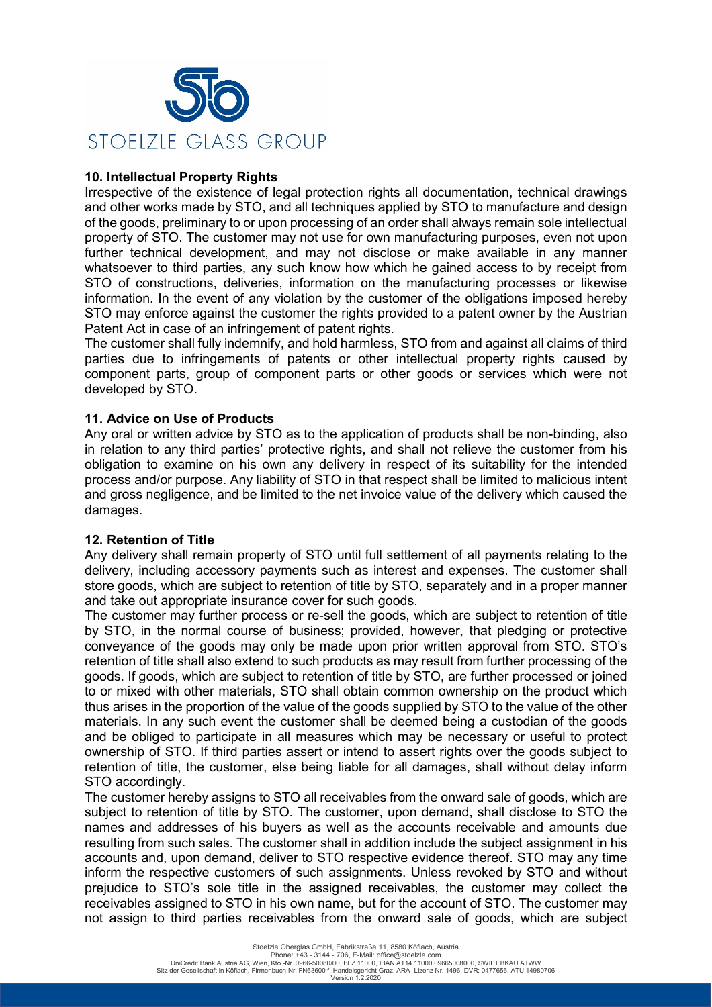

## **10. Intellectual Property Rights**

Irrespective of the existence of legal protection rights all documentation, technical drawings and other works made by STO, and all techniques applied by STO to manufacture and design of the goods, preliminary to or upon processing of an order shall always remain sole intellectual property of STO. The customer may not use for own manufacturing purposes, even not upon further technical development, and may not disclose or make available in any manner whatsoever to third parties, any such know how which he gained access to by receipt from STO of constructions, deliveries, information on the manufacturing processes or likewise information. In the event of any violation by the customer of the obligations imposed hereby STO may enforce against the customer the rights provided to a patent owner by the Austrian Patent Act in case of an infringement of patent rights.

The customer shall fully indemnify, and hold harmless, STO from and against all claims of third parties due to infringements of patents or other intellectual property rights caused by component parts, group of component parts or other goods or services which were not developed by STO.

### **11. Advice on Use of Products**

Any oral or written advice by STO as to the application of products shall be non-binding, also in relation to any third parties' protective rights, and shall not relieve the customer from his obligation to examine on his own any delivery in respect of its suitability for the intended process and/or purpose. Any liability of STO in that respect shall be limited to malicious intent and gross negligence, and be limited to the net invoice value of the delivery which caused the damages.

### **12. Retention of Title**

Any delivery shall remain property of STO until full settlement of all payments relating to the delivery, including accessory payments such as interest and expenses. The customer shall store goods, which are subject to retention of title by STO, separately and in a proper manner and take out appropriate insurance cover for such goods.

The customer may further process or re-sell the goods, which are subject to retention of title by STO, in the normal course of business; provided, however, that pledging or protective conveyance of the goods may only be made upon prior written approval from STO. STO's retention of title shall also extend to such products as may result from further processing of the goods. If goods, which are subject to retention of title by STO, are further processed or joined to or mixed with other materials, STO shall obtain common ownership on the product which thus arises in the proportion of the value of the goods supplied by STO to the value of the other materials. In any such event the customer shall be deemed being a custodian of the goods and be obliged to participate in all measures which may be necessary or useful to protect ownership of STO. If third parties assert or intend to assert rights over the goods subject to retention of title, the customer, else being liable for all damages, shall without delay inform STO accordingly.

The customer hereby assigns to STO all receivables from the onward sale of goods, which are subject to retention of title by STO. The customer, upon demand, shall disclose to STO the names and addresses of his buyers as well as the accounts receivable and amounts due resulting from such sales. The customer shall in addition include the subject assignment in his accounts and, upon demand, deliver to STO respective evidence thereof. STO may any time inform the respective customers of such assignments. Unless revoked by STO and without prejudice to STO's sole title in the assigned receivables, the customer may collect the receivables assigned to STO in his own name, but for the account of STO. The customer may not assign to third parties receivables from the onward sale of goods, which are subject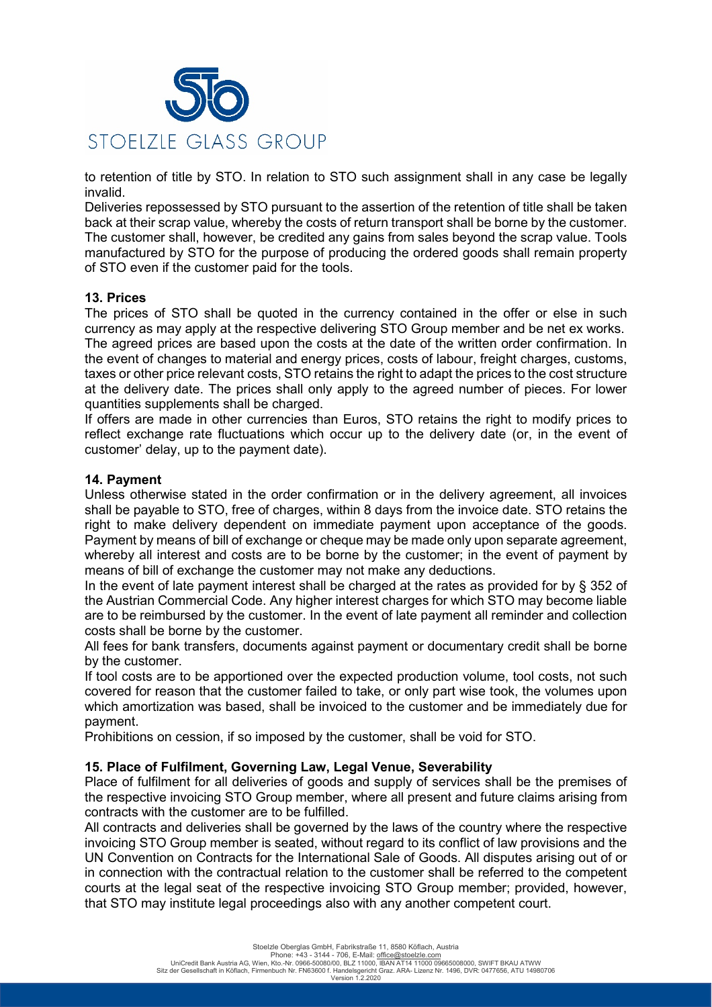

to retention of title by STO. In relation to STO such assignment shall in any case be legally invalid.

Deliveries repossessed by STO pursuant to the assertion of the retention of title shall be taken back at their scrap value, whereby the costs of return transport shall be borne by the customer. The customer shall, however, be credited any gains from sales beyond the scrap value. Tools manufactured by STO for the purpose of producing the ordered goods shall remain property of STO even if the customer paid for the tools.

#### **13. Prices**

The prices of STO shall be quoted in the currency contained in the offer or else in such currency as may apply at the respective delivering STO Group member and be net ex works. The agreed prices are based upon the costs at the date of the written order confirmation. In the event of changes to material and energy prices, costs of labour, freight charges, customs, taxes or other price relevant costs, STO retains the right to adapt the prices to the cost structure at the delivery date. The prices shall only apply to the agreed number of pieces. For lower quantities supplements shall be charged.

If offers are made in other currencies than Euros, STO retains the right to modify prices to reflect exchange rate fluctuations which occur up to the delivery date (or, in the event of customer' delay, up to the payment date).

#### **14. Payment**

Unless otherwise stated in the order confirmation or in the delivery agreement, all invoices shall be payable to STO, free of charges, within 8 days from the invoice date. STO retains the right to make delivery dependent on immediate payment upon acceptance of the goods. Payment by means of bill of exchange or cheque may be made only upon separate agreement, whereby all interest and costs are to be borne by the customer; in the event of payment by means of bill of exchange the customer may not make any deductions.

In the event of late payment interest shall be charged at the rates as provided for by § 352 of the Austrian Commercial Code. Any higher interest charges for which STO may become liable are to be reimbursed by the customer. In the event of late payment all reminder and collection costs shall be borne by the customer.

All fees for bank transfers, documents against payment or documentary credit shall be borne by the customer.

If tool costs are to be apportioned over the expected production volume, tool costs, not such covered for reason that the customer failed to take, or only part wise took, the volumes upon which amortization was based, shall be invoiced to the customer and be immediately due for payment.

Prohibitions on cession, if so imposed by the customer, shall be void for STO.

#### **15. Place of Fulfilment, Governing Law, Legal Venue, Severability**

Place of fulfilment for all deliveries of goods and supply of services shall be the premises of the respective invoicing STO Group member, where all present and future claims arising from contracts with the customer are to be fulfilled.

All contracts and deliveries shall be governed by the laws of the country where the respective invoicing STO Group member is seated, without regard to its conflict of law provisions and the UN Convention on Contracts for the International Sale of Goods. All disputes arising out of or in connection with the contractual relation to the customer shall be referred to the competent courts at the legal seat of the respective invoicing STO Group member; provided, however, that STO may institute legal proceedings also with any another competent court.